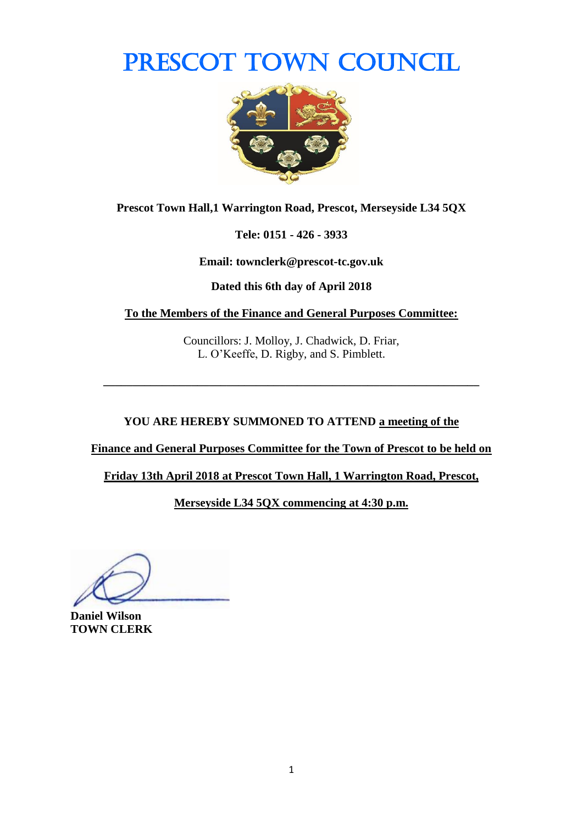## PRESCOT TOWN COUNCIL



**Prescot Town Hall,1 Warrington Road, Prescot, Merseyside L34 5QX**

**Tele: 0151 - 426 - 3933**

**Email: townclerk@prescot-tc.gov.uk**

**Dated this 6th day of April 2018**

**To the Members of the Finance and General Purposes Committee:**

Councillors: J. Molloy, J. Chadwick, D. Friar, L. O'Keeffe, D. Rigby, and S. Pimblett.

**\_\_\_\_\_\_\_\_\_\_\_\_\_\_\_\_\_\_\_\_\_\_\_\_\_\_\_\_\_\_\_\_\_\_\_\_\_\_\_\_\_\_\_\_\_\_\_\_\_\_\_\_\_\_\_\_\_\_\_\_\_\_\_\_**

### **YOU ARE HEREBY SUMMONED TO ATTEND a meeting of the**

**Finance and General Purposes Committee for the Town of Prescot to be held on** 

**Friday 13th April 2018 at Prescot Town Hall, 1 Warrington Road, Prescot,** 

**Merseyside L34 5QX commencing at 4:30 p.m.**

**Daniel Wilson TOWN CLERK**